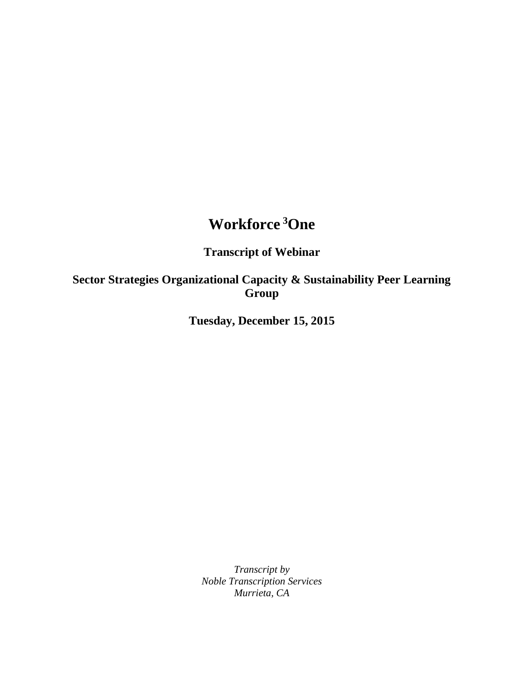## **Workforce <sup>3</sup>One**

## **Transcript of Webinar**

## **Sector Strategies Organizational Capacity & Sustainability Peer Learning Group**

**Tuesday, December 15, 2015**

*Transcript by Noble Transcription Services Murrieta, CA*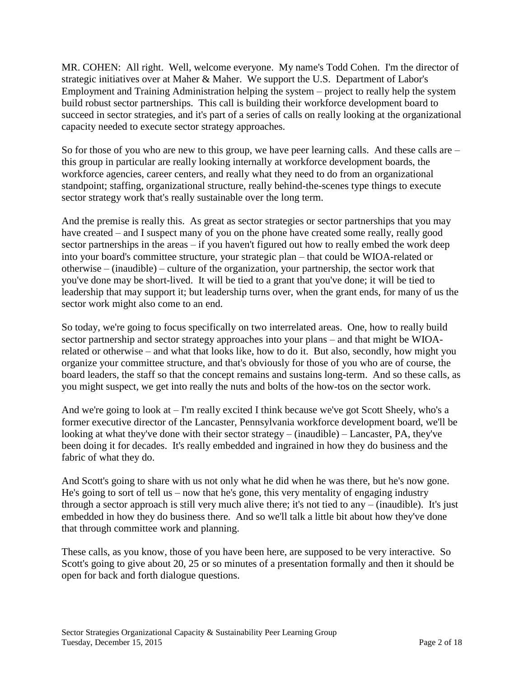MR. COHEN: All right. Well, welcome everyone. My name's Todd Cohen. I'm the director of strategic initiatives over at Maher & Maher. We support the U.S. Department of Labor's Employment and Training Administration helping the system – project to really help the system build robust sector partnerships. This call is building their workforce development board to succeed in sector strategies, and it's part of a series of calls on really looking at the organizational capacity needed to execute sector strategy approaches.

So for those of you who are new to this group, we have peer learning calls. And these calls are – this group in particular are really looking internally at workforce development boards, the workforce agencies, career centers, and really what they need to do from an organizational standpoint; staffing, organizational structure, really behind-the-scenes type things to execute sector strategy work that's really sustainable over the long term.

And the premise is really this. As great as sector strategies or sector partnerships that you may have created – and I suspect many of you on the phone have created some really, really good sector partnerships in the areas – if you haven't figured out how to really embed the work deep into your board's committee structure, your strategic plan – that could be WIOA-related or otherwise – (inaudible) – culture of the organization, your partnership, the sector work that you've done may be short-lived. It will be tied to a grant that you've done; it will be tied to leadership that may support it; but leadership turns over, when the grant ends, for many of us the sector work might also come to an end.

So today, we're going to focus specifically on two interrelated areas. One, how to really build sector partnership and sector strategy approaches into your plans – and that might be WIOArelated or otherwise – and what that looks like, how to do it. But also, secondly, how might you organize your committee structure, and that's obviously for those of you who are of course, the board leaders, the staff so that the concept remains and sustains long-term. And so these calls, as you might suspect, we get into really the nuts and bolts of the how-tos on the sector work.

And we're going to look at – I'm really excited I think because we've got Scott Sheely, who's a former executive director of the Lancaster, Pennsylvania workforce development board, we'll be looking at what they've done with their sector strategy – (inaudible) – Lancaster, PA, they've been doing it for decades. It's really embedded and ingrained in how they do business and the fabric of what they do.

And Scott's going to share with us not only what he did when he was there, but he's now gone. He's going to sort of tell us – now that he's gone, this very mentality of engaging industry through a sector approach is still very much alive there; it's not tied to any – (inaudible). It's just embedded in how they do business there. And so we'll talk a little bit about how they've done that through committee work and planning.

These calls, as you know, those of you have been here, are supposed to be very interactive. So Scott's going to give about 20, 25 or so minutes of a presentation formally and then it should be open for back and forth dialogue questions.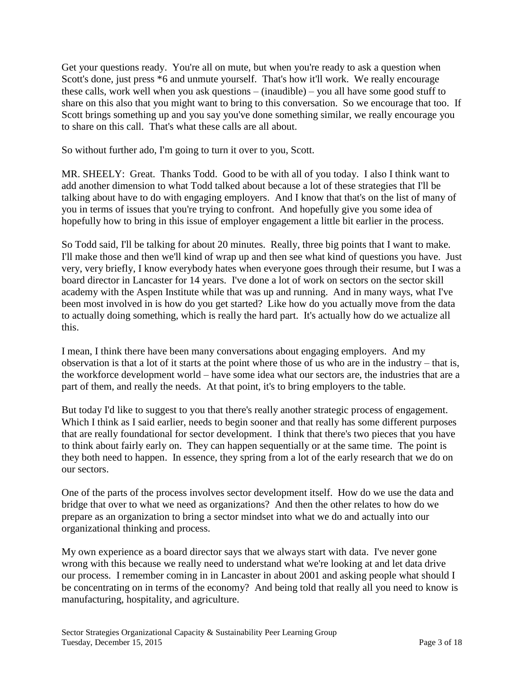Get your questions ready. You're all on mute, but when you're ready to ask a question when Scott's done, just press  $*6$  and unmute yourself. That's how it'll work. We really encourage these calls, work well when you ask questions – (inaudible) – you all have some good stuff to share on this also that you might want to bring to this conversation. So we encourage that too. If Scott brings something up and you say you've done something similar, we really encourage you to share on this call. That's what these calls are all about.

So without further ado, I'm going to turn it over to you, Scott.

MR. SHEELY: Great. Thanks Todd. Good to be with all of you today. I also I think want to add another dimension to what Todd talked about because a lot of these strategies that I'll be talking about have to do with engaging employers. And I know that that's on the list of many of you in terms of issues that you're trying to confront. And hopefully give you some idea of hopefully how to bring in this issue of employer engagement a little bit earlier in the process.

So Todd said, I'll be talking for about 20 minutes. Really, three big points that I want to make. I'll make those and then we'll kind of wrap up and then see what kind of questions you have. Just very, very briefly, I know everybody hates when everyone goes through their resume, but I was a board director in Lancaster for 14 years. I've done a lot of work on sectors on the sector skill academy with the Aspen Institute while that was up and running. And in many ways, what I've been most involved in is how do you get started? Like how do you actually move from the data to actually doing something, which is really the hard part. It's actually how do we actualize all this.

I mean, I think there have been many conversations about engaging employers. And my observation is that a lot of it starts at the point where those of us who are in the industry – that is, the workforce development world – have some idea what our sectors are, the industries that are a part of them, and really the needs. At that point, it's to bring employers to the table.

But today I'd like to suggest to you that there's really another strategic process of engagement. Which I think as I said earlier, needs to begin sooner and that really has some different purposes that are really foundational for sector development. I think that there's two pieces that you have to think about fairly early on. They can happen sequentially or at the same time. The point is they both need to happen. In essence, they spring from a lot of the early research that we do on our sectors.

One of the parts of the process involves sector development itself. How do we use the data and bridge that over to what we need as organizations? And then the other relates to how do we prepare as an organization to bring a sector mindset into what we do and actually into our organizational thinking and process.

My own experience as a board director says that we always start with data. I've never gone wrong with this because we really need to understand what we're looking at and let data drive our process. I remember coming in in Lancaster in about 2001 and asking people what should I be concentrating on in terms of the economy? And being told that really all you need to know is manufacturing, hospitality, and agriculture.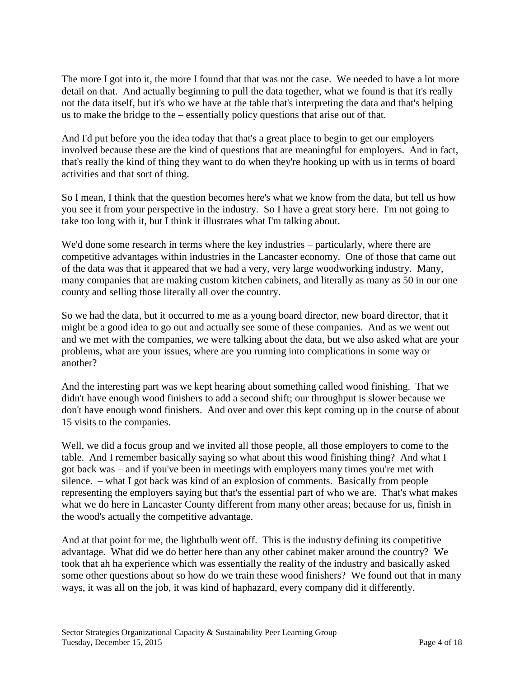The more I got into it, the more I found that that was not the case. We needed to have a lot more detail on that. And actually beginning to pull the data together, what we found is that it's really not the data itself, but it's who we have at the table that's interpreting the data and that's helping us to make the bridge to the – essentially policy questions that arise out of that.

And I'd put before you the idea today that that's a great place to begin to get our employers involved because these are the kind of questions that are meaningful for employers. And in fact, that's really the kind of thing they want to do when they're hooking up with us in terms of board activities and that sort of thing.

So I mean, I think that the question becomes here's what we know from the data, but tell us how you see it from your perspective in the industry. So I have a great story here. I'm not going to take too long with it, but I think it illustrates what I'm talking about.

We'd done some research in terms where the key industries – particularly, where there are competitive advantages within industries in the Lancaster economy. One of those that came out of the data was that it appeared that we had a very, very large woodworking industry. Many, many companies that are making custom kitchen cabinets, and literally as many as 50 in our one county and selling those literally all over the country.

So we had the data, but it occurred to me as a young board director, new board director, that it might be a good idea to go out and actually see some of these companies. And as we went out and we met with the companies, we were talking about the data, but we also asked what are your problems, what are your issues, where are you running into complications in some way or another?

And the interesting part was we kept hearing about something called wood finishing. That we didn't have enough wood finishers to add a second shift; our throughput is slower because we don't have enough wood finishers. And over and over this kept coming up in the course of about 15 visits to the companies.

Well, we did a focus group and we invited all those people, all those employers to come to the table. And I remember basically saying so what about this wood finishing thing? And what I got back was – and if you've been in meetings with employers many times you're met with silence. – what I got back was kind of an explosion of comments. Basically from people representing the employers saying but that's the essential part of who we are. That's what makes what we do here in Lancaster County different from many other areas; because for us, finish in the wood's actually the competitive advantage.

And at that point for me, the lightbulb went off. This is the industry defining its competitive advantage. What did we do better here than any other cabinet maker around the country? We took that ah ha experience which was essentially the reality of the industry and basically asked some other questions about so how do we train these wood finishers? We found out that in many ways, it was all on the job, it was kind of haphazard, every company did it differently.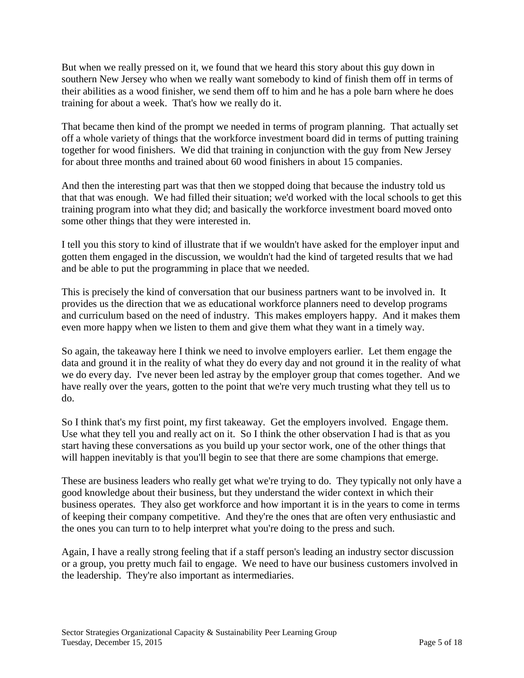But when we really pressed on it, we found that we heard this story about this guy down in southern New Jersey who when we really want somebody to kind of finish them off in terms of their abilities as a wood finisher, we send them off to him and he has a pole barn where he does training for about a week. That's how we really do it.

That became then kind of the prompt we needed in terms of program planning. That actually set off a whole variety of things that the workforce investment board did in terms of putting training together for wood finishers. We did that training in conjunction with the guy from New Jersey for about three months and trained about 60 wood finishers in about 15 companies.

And then the interesting part was that then we stopped doing that because the industry told us that that was enough. We had filled their situation; we'd worked with the local schools to get this training program into what they did; and basically the workforce investment board moved onto some other things that they were interested in.

I tell you this story to kind of illustrate that if we wouldn't have asked for the employer input and gotten them engaged in the discussion, we wouldn't had the kind of targeted results that we had and be able to put the programming in place that we needed.

This is precisely the kind of conversation that our business partners want to be involved in. It provides us the direction that we as educational workforce planners need to develop programs and curriculum based on the need of industry. This makes employers happy. And it makes them even more happy when we listen to them and give them what they want in a timely way.

So again, the takeaway here I think we need to involve employers earlier. Let them engage the data and ground it in the reality of what they do every day and not ground it in the reality of what we do every day. I've never been led astray by the employer group that comes together. And we have really over the years, gotten to the point that we're very much trusting what they tell us to do.

So I think that's my first point, my first takeaway. Get the employers involved. Engage them. Use what they tell you and really act on it. So I think the other observation I had is that as you start having these conversations as you build up your sector work, one of the other things that will happen inevitably is that you'll begin to see that there are some champions that emerge.

These are business leaders who really get what we're trying to do. They typically not only have a good knowledge about their business, but they understand the wider context in which their business operates. They also get workforce and how important it is in the years to come in terms of keeping their company competitive. And they're the ones that are often very enthusiastic and the ones you can turn to to help interpret what you're doing to the press and such.

Again, I have a really strong feeling that if a staff person's leading an industry sector discussion or a group, you pretty much fail to engage. We need to have our business customers involved in the leadership. They're also important as intermediaries.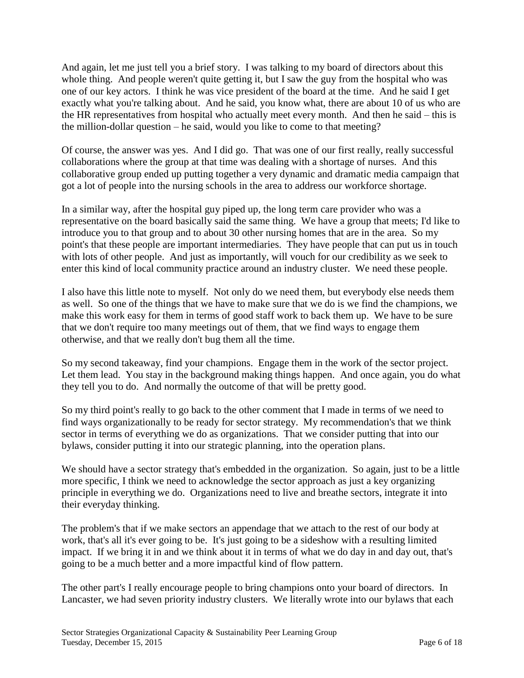And again, let me just tell you a brief story. I was talking to my board of directors about this whole thing. And people weren't quite getting it, but I saw the guy from the hospital who was one of our key actors. I think he was vice president of the board at the time. And he said I get exactly what you're talking about. And he said, you know what, there are about 10 of us who are the HR representatives from hospital who actually meet every month. And then he said – this is the million-dollar question – he said, would you like to come to that meeting?

Of course, the answer was yes. And I did go. That was one of our first really, really successful collaborations where the group at that time was dealing with a shortage of nurses. And this collaborative group ended up putting together a very dynamic and dramatic media campaign that got a lot of people into the nursing schools in the area to address our workforce shortage.

In a similar way, after the hospital guy piped up, the long term care provider who was a representative on the board basically said the same thing. We have a group that meets; I'd like to introduce you to that group and to about 30 other nursing homes that are in the area. So my point's that these people are important intermediaries. They have people that can put us in touch with lots of other people. And just as importantly, will vouch for our credibility as we seek to enter this kind of local community practice around an industry cluster. We need these people.

I also have this little note to myself. Not only do we need them, but everybody else needs them as well. So one of the things that we have to make sure that we do is we find the champions, we make this work easy for them in terms of good staff work to back them up. We have to be sure that we don't require too many meetings out of them, that we find ways to engage them otherwise, and that we really don't bug them all the time.

So my second takeaway, find your champions. Engage them in the work of the sector project. Let them lead. You stay in the background making things happen. And once again, you do what they tell you to do. And normally the outcome of that will be pretty good.

So my third point's really to go back to the other comment that I made in terms of we need to find ways organizationally to be ready for sector strategy. My recommendation's that we think sector in terms of everything we do as organizations. That we consider putting that into our bylaws, consider putting it into our strategic planning, into the operation plans.

We should have a sector strategy that's embedded in the organization. So again, just to be a little more specific, I think we need to acknowledge the sector approach as just a key organizing principle in everything we do. Organizations need to live and breathe sectors, integrate it into their everyday thinking.

The problem's that if we make sectors an appendage that we attach to the rest of our body at work, that's all it's ever going to be. It's just going to be a sideshow with a resulting limited impact. If we bring it in and we think about it in terms of what we do day in and day out, that's going to be a much better and a more impactful kind of flow pattern.

The other part's I really encourage people to bring champions onto your board of directors. In Lancaster, we had seven priority industry clusters. We literally wrote into our bylaws that each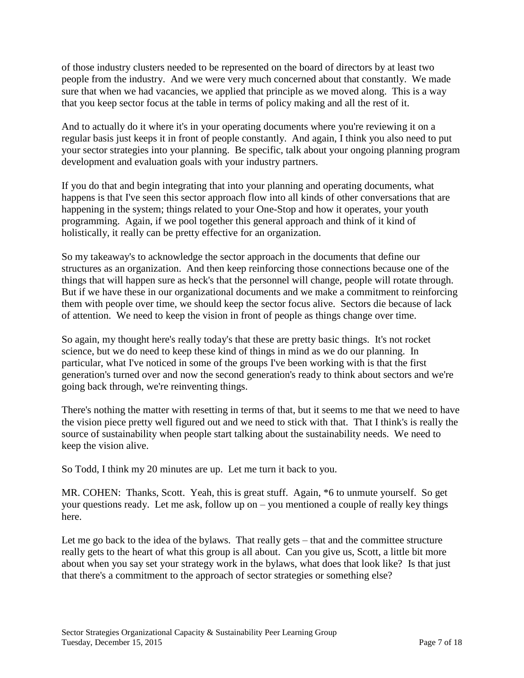of those industry clusters needed to be represented on the board of directors by at least two people from the industry. And we were very much concerned about that constantly. We made sure that when we had vacancies, we applied that principle as we moved along. This is a way that you keep sector focus at the table in terms of policy making and all the rest of it.

And to actually do it where it's in your operating documents where you're reviewing it on a regular basis just keeps it in front of people constantly. And again, I think you also need to put your sector strategies into your planning. Be specific, talk about your ongoing planning program development and evaluation goals with your industry partners.

If you do that and begin integrating that into your planning and operating documents, what happens is that I've seen this sector approach flow into all kinds of other conversations that are happening in the system; things related to your One-Stop and how it operates, your youth programming. Again, if we pool together this general approach and think of it kind of holistically, it really can be pretty effective for an organization.

So my takeaway's to acknowledge the sector approach in the documents that define our structures as an organization. And then keep reinforcing those connections because one of the things that will happen sure as heck's that the personnel will change, people will rotate through. But if we have these in our organizational documents and we make a commitment to reinforcing them with people over time, we should keep the sector focus alive. Sectors die because of lack of attention. We need to keep the vision in front of people as things change over time.

So again, my thought here's really today's that these are pretty basic things. It's not rocket science, but we do need to keep these kind of things in mind as we do our planning. In particular, what I've noticed in some of the groups I've been working with is that the first generation's turned over and now the second generation's ready to think about sectors and we're going back through, we're reinventing things.

There's nothing the matter with resetting in terms of that, but it seems to me that we need to have the vision piece pretty well figured out and we need to stick with that. That I think's is really the source of sustainability when people start talking about the sustainability needs. We need to keep the vision alive.

So Todd, I think my 20 minutes are up. Let me turn it back to you.

MR. COHEN: Thanks, Scott. Yeah, this is great stuff. Again, \*6 to unmute yourself. So get your questions ready. Let me ask, follow up on – you mentioned a couple of really key things here.

Let me go back to the idea of the bylaws. That really gets – that and the committee structure really gets to the heart of what this group is all about. Can you give us, Scott, a little bit more about when you say set your strategy work in the bylaws, what does that look like? Is that just that there's a commitment to the approach of sector strategies or something else?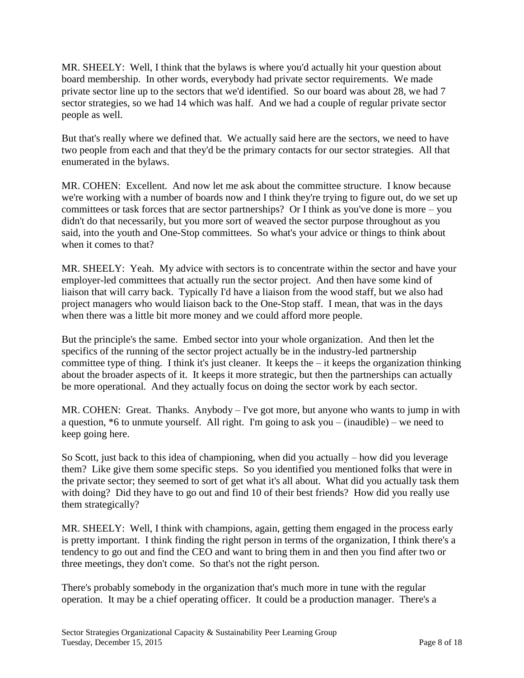MR. SHEELY: Well, I think that the bylaws is where you'd actually hit your question about board membership. In other words, everybody had private sector requirements. We made private sector line up to the sectors that we'd identified. So our board was about 28, we had 7 sector strategies, so we had 14 which was half. And we had a couple of regular private sector people as well.

But that's really where we defined that. We actually said here are the sectors, we need to have two people from each and that they'd be the primary contacts for our sector strategies. All that enumerated in the bylaws.

MR. COHEN: Excellent. And now let me ask about the committee structure. I know because we're working with a number of boards now and I think they're trying to figure out, do we set up committees or task forces that are sector partnerships? Or I think as you've done is more – you didn't do that necessarily, but you more sort of weaved the sector purpose throughout as you said, into the youth and One-Stop committees. So what's your advice or things to think about when it comes to that?

MR. SHEELY: Yeah. My advice with sectors is to concentrate within the sector and have your employer-led committees that actually run the sector project. And then have some kind of liaison that will carry back. Typically I'd have a liaison from the wood staff, but we also had project managers who would liaison back to the One-Stop staff. I mean, that was in the days when there was a little bit more money and we could afford more people.

But the principle's the same. Embed sector into your whole organization. And then let the specifics of the running of the sector project actually be in the industry-led partnership committee type of thing. I think it's just cleaner. It keeps the – it keeps the organization thinking about the broader aspects of it. It keeps it more strategic, but then the partnerships can actually be more operational. And they actually focus on doing the sector work by each sector.

MR. COHEN: Great. Thanks. Anybody – I've got more, but anyone who wants to jump in with a question,  $*6$  to unmute yourself. All right. I'm going to ask you – (inaudible) – we need to keep going here.

So Scott, just back to this idea of championing, when did you actually – how did you leverage them? Like give them some specific steps. So you identified you mentioned folks that were in the private sector; they seemed to sort of get what it's all about. What did you actually task them with doing? Did they have to go out and find 10 of their best friends? How did you really use them strategically?

MR. SHEELY: Well, I think with champions, again, getting them engaged in the process early is pretty important. I think finding the right person in terms of the organization, I think there's a tendency to go out and find the CEO and want to bring them in and then you find after two or three meetings, they don't come. So that's not the right person.

There's probably somebody in the organization that's much more in tune with the regular operation. It may be a chief operating officer. It could be a production manager. There's a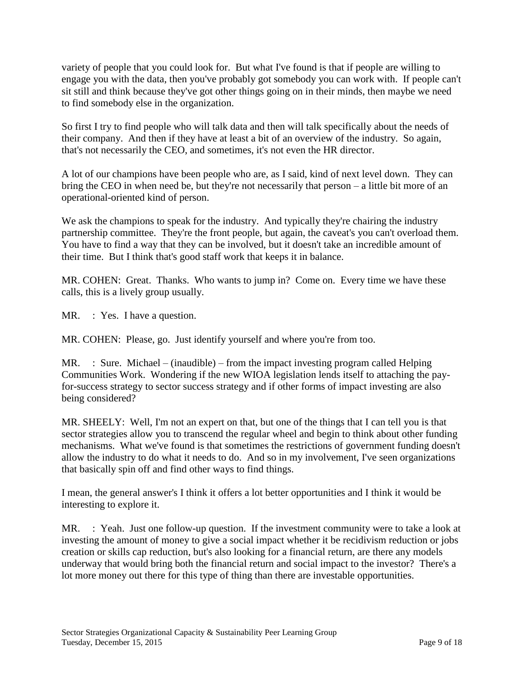variety of people that you could look for. But what I've found is that if people are willing to engage you with the data, then you've probably got somebody you can work with. If people can't sit still and think because they've got other things going on in their minds, then maybe we need to find somebody else in the organization.

So first I try to find people who will talk data and then will talk specifically about the needs of their company. And then if they have at least a bit of an overview of the industry. So again, that's not necessarily the CEO, and sometimes, it's not even the HR director.

A lot of our champions have been people who are, as I said, kind of next level down. They can bring the CEO in when need be, but they're not necessarily that person – a little bit more of an operational-oriented kind of person.

We ask the champions to speak for the industry. And typically they're chairing the industry partnership committee. They're the front people, but again, the caveat's you can't overload them. You have to find a way that they can be involved, but it doesn't take an incredible amount of their time. But I think that's good staff work that keeps it in balance.

MR. COHEN: Great. Thanks. Who wants to jump in? Come on. Every time we have these calls, this is a lively group usually.

MR. : Yes. I have a question.

MR. COHEN: Please, go. Just identify yourself and where you're from too.

MR. : Sure. Michael – (inaudible) – from the impact investing program called Helping Communities Work. Wondering if the new WIOA legislation lends itself to attaching the payfor-success strategy to sector success strategy and if other forms of impact investing are also being considered?

MR. SHEELY: Well, I'm not an expert on that, but one of the things that I can tell you is that sector strategies allow you to transcend the regular wheel and begin to think about other funding mechanisms. What we've found is that sometimes the restrictions of government funding doesn't allow the industry to do what it needs to do. And so in my involvement, I've seen organizations that basically spin off and find other ways to find things.

I mean, the general answer's I think it offers a lot better opportunities and I think it would be interesting to explore it.

MR. : Yeah. Just one follow-up question. If the investment community were to take a look at investing the amount of money to give a social impact whether it be recidivism reduction or jobs creation or skills cap reduction, but's also looking for a financial return, are there any models underway that would bring both the financial return and social impact to the investor? There's a lot more money out there for this type of thing than there are investable opportunities.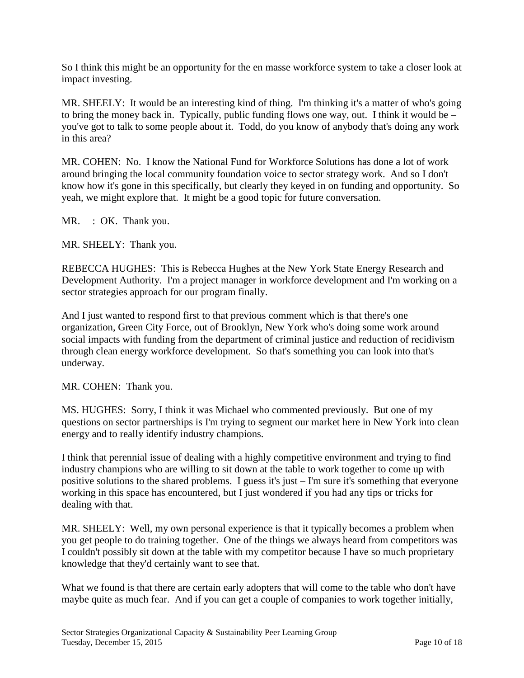So I think this might be an opportunity for the en masse workforce system to take a closer look at impact investing.

MR. SHEELY: It would be an interesting kind of thing. I'm thinking it's a matter of who's going to bring the money back in. Typically, public funding flows one way, out. I think it would be – you've got to talk to some people about it. Todd, do you know of anybody that's doing any work in this area?

MR. COHEN: No. I know the National Fund for Workforce Solutions has done a lot of work around bringing the local community foundation voice to sector strategy work. And so I don't know how it's gone in this specifically, but clearly they keyed in on funding and opportunity. So yeah, we might explore that. It might be a good topic for future conversation.

MR. : OK. Thank you.

MR. SHEELY: Thank you.

REBECCA HUGHES: This is Rebecca Hughes at the New York State Energy Research and Development Authority. I'm a project manager in workforce development and I'm working on a sector strategies approach for our program finally.

And I just wanted to respond first to that previous comment which is that there's one organization, Green City Force, out of Brooklyn, New York who's doing some work around social impacts with funding from the department of criminal justice and reduction of recidivism through clean energy workforce development. So that's something you can look into that's underway.

MR. COHEN: Thank you.

MS. HUGHES: Sorry, I think it was Michael who commented previously. But one of my questions on sector partnerships is I'm trying to segment our market here in New York into clean energy and to really identify industry champions.

I think that perennial issue of dealing with a highly competitive environment and trying to find industry champions who are willing to sit down at the table to work together to come up with positive solutions to the shared problems. I guess it's just – I'm sure it's something that everyone working in this space has encountered, but I just wondered if you had any tips or tricks for dealing with that.

MR. SHEELY: Well, my own personal experience is that it typically becomes a problem when you get people to do training together. One of the things we always heard from competitors was I couldn't possibly sit down at the table with my competitor because I have so much proprietary knowledge that they'd certainly want to see that.

What we found is that there are certain early adopters that will come to the table who don't have maybe quite as much fear. And if you can get a couple of companies to work together initially,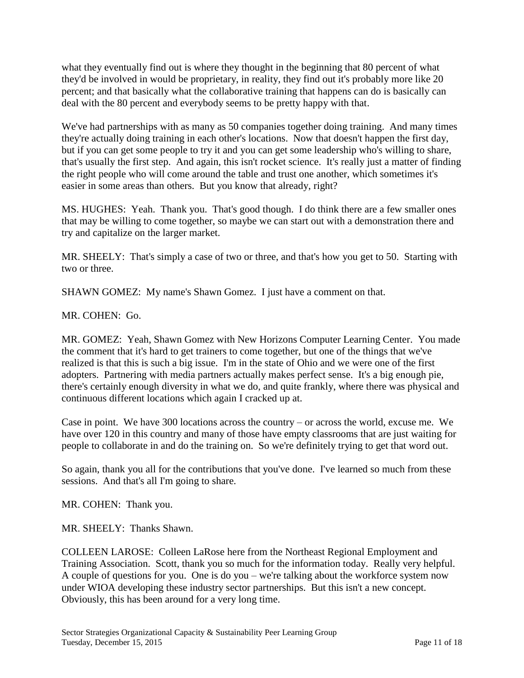what they eventually find out is where they thought in the beginning that 80 percent of what they'd be involved in would be proprietary, in reality, they find out it's probably more like 20 percent; and that basically what the collaborative training that happens can do is basically can deal with the 80 percent and everybody seems to be pretty happy with that.

We've had partnerships with as many as 50 companies together doing training. And many times they're actually doing training in each other's locations. Now that doesn't happen the first day, but if you can get some people to try it and you can get some leadership who's willing to share, that's usually the first step. And again, this isn't rocket science. It's really just a matter of finding the right people who will come around the table and trust one another, which sometimes it's easier in some areas than others. But you know that already, right?

MS. HUGHES: Yeah. Thank you. That's good though. I do think there are a few smaller ones that may be willing to come together, so maybe we can start out with a demonstration there and try and capitalize on the larger market.

MR. SHEELY: That's simply a case of two or three, and that's how you get to 50. Starting with two or three.

SHAWN GOMEZ: My name's Shawn Gomez. I just have a comment on that.

MR. COHEN: Go.

MR. GOMEZ: Yeah, Shawn Gomez with New Horizons Computer Learning Center. You made the comment that it's hard to get trainers to come together, but one of the things that we've realized is that this is such a big issue. I'm in the state of Ohio and we were one of the first adopters. Partnering with media partners actually makes perfect sense. It's a big enough pie, there's certainly enough diversity in what we do, and quite frankly, where there was physical and continuous different locations which again I cracked up at.

Case in point. We have 300 locations across the country – or across the world, excuse me. We have over 120 in this country and many of those have empty classrooms that are just waiting for people to collaborate in and do the training on. So we're definitely trying to get that word out.

So again, thank you all for the contributions that you've done. I've learned so much from these sessions. And that's all I'm going to share.

MR. COHEN: Thank you.

MR. SHEELY: Thanks Shawn.

COLLEEN LAROSE: Colleen LaRose here from the Northeast Regional Employment and Training Association. Scott, thank you so much for the information today. Really very helpful. A couple of questions for you. One is do you – we're talking about the workforce system now under WIOA developing these industry sector partnerships. But this isn't a new concept. Obviously, this has been around for a very long time.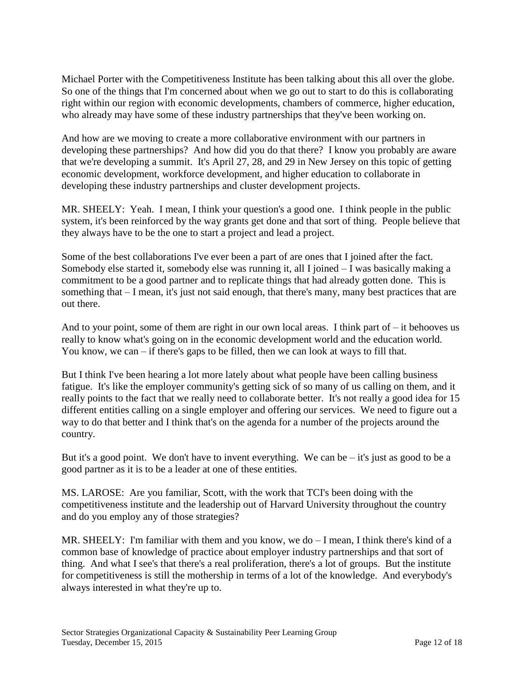Michael Porter with the Competitiveness Institute has been talking about this all over the globe. So one of the things that I'm concerned about when we go out to start to do this is collaborating right within our region with economic developments, chambers of commerce, higher education, who already may have some of these industry partnerships that they've been working on.

And how are we moving to create a more collaborative environment with our partners in developing these partnerships? And how did you do that there? I know you probably are aware that we're developing a summit. It's April 27, 28, and 29 in New Jersey on this topic of getting economic development, workforce development, and higher education to collaborate in developing these industry partnerships and cluster development projects.

MR. SHEELY: Yeah. I mean, I think your question's a good one. I think people in the public system, it's been reinforced by the way grants get done and that sort of thing. People believe that they always have to be the one to start a project and lead a project.

Some of the best collaborations I've ever been a part of are ones that I joined after the fact. Somebody else started it, somebody else was running it, all I joined – I was basically making a commitment to be a good partner and to replicate things that had already gotten done. This is something that – I mean, it's just not said enough, that there's many, many best practices that are out there.

And to your point, some of them are right in our own local areas. I think part of  $-$  it behooves us really to know what's going on in the economic development world and the education world. You know, we can – if there's gaps to be filled, then we can look at ways to fill that.

But I think I've been hearing a lot more lately about what people have been calling business fatigue. It's like the employer community's getting sick of so many of us calling on them, and it really points to the fact that we really need to collaborate better. It's not really a good idea for 15 different entities calling on a single employer and offering our services. We need to figure out a way to do that better and I think that's on the agenda for a number of the projects around the country.

But it's a good point. We don't have to invent everything. We can be  $-$  it's just as good to be a good partner as it is to be a leader at one of these entities.

MS. LAROSE: Are you familiar, Scott, with the work that TCI's been doing with the competitiveness institute and the leadership out of Harvard University throughout the country and do you employ any of those strategies?

MR. SHEELY: I'm familiar with them and you know, we do – I mean, I think there's kind of a common base of knowledge of practice about employer industry partnerships and that sort of thing. And what I see's that there's a real proliferation, there's a lot of groups. But the institute for competitiveness is still the mothership in terms of a lot of the knowledge. And everybody's always interested in what they're up to.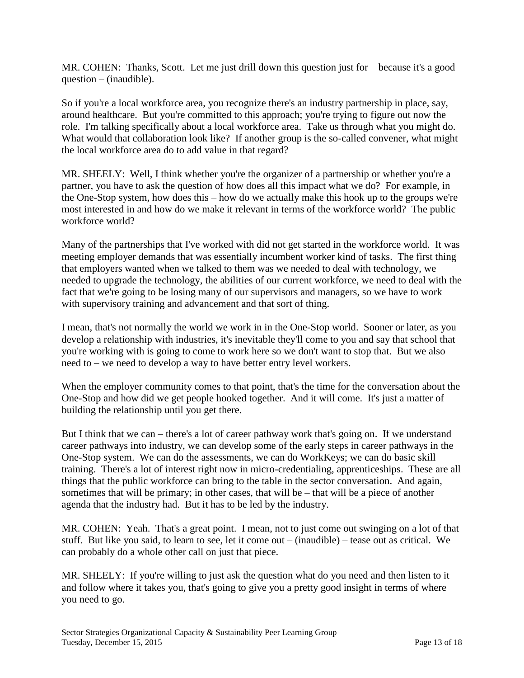MR. COHEN: Thanks, Scott. Let me just drill down this question just for – because it's a good question – (inaudible).

So if you're a local workforce area, you recognize there's an industry partnership in place, say, around healthcare. But you're committed to this approach; you're trying to figure out now the role. I'm talking specifically about a local workforce area. Take us through what you might do. What would that collaboration look like? If another group is the so-called convener, what might the local workforce area do to add value in that regard?

MR. SHEELY: Well, I think whether you're the organizer of a partnership or whether you're a partner, you have to ask the question of how does all this impact what we do? For example, in the One-Stop system, how does this – how do we actually make this hook up to the groups we're most interested in and how do we make it relevant in terms of the workforce world? The public workforce world?

Many of the partnerships that I've worked with did not get started in the workforce world. It was meeting employer demands that was essentially incumbent worker kind of tasks. The first thing that employers wanted when we talked to them was we needed to deal with technology, we needed to upgrade the technology, the abilities of our current workforce, we need to deal with the fact that we're going to be losing many of our supervisors and managers, so we have to work with supervisory training and advancement and that sort of thing.

I mean, that's not normally the world we work in in the One-Stop world. Sooner or later, as you develop a relationship with industries, it's inevitable they'll come to you and say that school that you're working with is going to come to work here so we don't want to stop that. But we also need to – we need to develop a way to have better entry level workers.

When the employer community comes to that point, that's the time for the conversation about the One-Stop and how did we get people hooked together. And it will come. It's just a matter of building the relationship until you get there.

But I think that we can – there's a lot of career pathway work that's going on. If we understand career pathways into industry, we can develop some of the early steps in career pathways in the One-Stop system. We can do the assessments, we can do WorkKeys; we can do basic skill training. There's a lot of interest right now in micro-credentialing, apprenticeships. These are all things that the public workforce can bring to the table in the sector conversation. And again, sometimes that will be primary; in other cases, that will be – that will be a piece of another agenda that the industry had. But it has to be led by the industry.

MR. COHEN: Yeah. That's a great point. I mean, not to just come out swinging on a lot of that stuff. But like you said, to learn to see, let it come out – (inaudible) – tease out as critical. We can probably do a whole other call on just that piece.

MR. SHEELY: If you're willing to just ask the question what do you need and then listen to it and follow where it takes you, that's going to give you a pretty good insight in terms of where you need to go.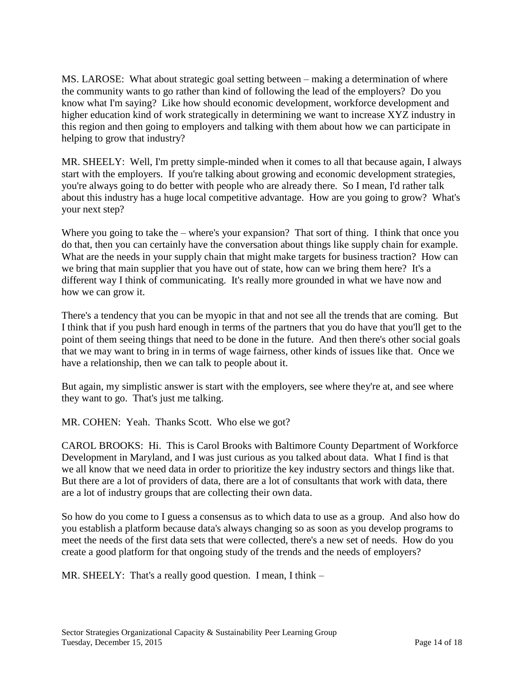MS. LAROSE: What about strategic goal setting between – making a determination of where the community wants to go rather than kind of following the lead of the employers? Do you know what I'm saying? Like how should economic development, workforce development and higher education kind of work strategically in determining we want to increase XYZ industry in this region and then going to employers and talking with them about how we can participate in helping to grow that industry?

MR. SHEELY: Well, I'm pretty simple-minded when it comes to all that because again, I always start with the employers. If you're talking about growing and economic development strategies, you're always going to do better with people who are already there. So I mean, I'd rather talk about this industry has a huge local competitive advantage. How are you going to grow? What's your next step?

Where you going to take the – where's your expansion? That sort of thing. I think that once you do that, then you can certainly have the conversation about things like supply chain for example. What are the needs in your supply chain that might make targets for business traction? How can we bring that main supplier that you have out of state, how can we bring them here? It's a different way I think of communicating. It's really more grounded in what we have now and how we can grow it.

There's a tendency that you can be myopic in that and not see all the trends that are coming. But I think that if you push hard enough in terms of the partners that you do have that you'll get to the point of them seeing things that need to be done in the future. And then there's other social goals that we may want to bring in in terms of wage fairness, other kinds of issues like that. Once we have a relationship, then we can talk to people about it.

But again, my simplistic answer is start with the employers, see where they're at, and see where they want to go. That's just me talking.

MR. COHEN: Yeah. Thanks Scott. Who else we got?

CAROL BROOKS: Hi. This is Carol Brooks with Baltimore County Department of Workforce Development in Maryland, and I was just curious as you talked about data. What I find is that we all know that we need data in order to prioritize the key industry sectors and things like that. But there are a lot of providers of data, there are a lot of consultants that work with data, there are a lot of industry groups that are collecting their own data.

So how do you come to I guess a consensus as to which data to use as a group. And also how do you establish a platform because data's always changing so as soon as you develop programs to meet the needs of the first data sets that were collected, there's a new set of needs. How do you create a good platform for that ongoing study of the trends and the needs of employers?

MR. SHEELY: That's a really good question. I mean, I think –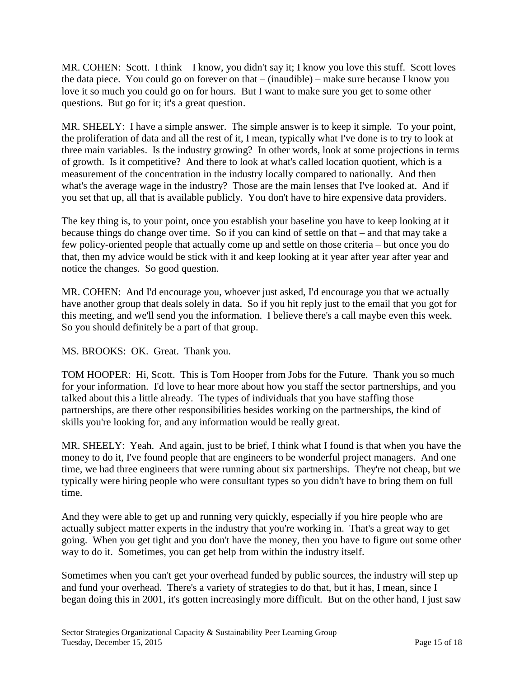MR. COHEN: Scott. I think – I know, you didn't say it; I know you love this stuff. Scott loves the data piece. You could go on forever on that – (inaudible) – make sure because I know you love it so much you could go on for hours. But I want to make sure you get to some other questions. But go for it; it's a great question.

MR. SHEELY: I have a simple answer. The simple answer is to keep it simple. To your point, the proliferation of data and all the rest of it, I mean, typically what I've done is to try to look at three main variables. Is the industry growing? In other words, look at some projections in terms of growth. Is it competitive? And there to look at what's called location quotient, which is a measurement of the concentration in the industry locally compared to nationally. And then what's the average wage in the industry? Those are the main lenses that I've looked at. And if you set that up, all that is available publicly. You don't have to hire expensive data providers.

The key thing is, to your point, once you establish your baseline you have to keep looking at it because things do change over time. So if you can kind of settle on that – and that may take a few policy-oriented people that actually come up and settle on those criteria – but once you do that, then my advice would be stick with it and keep looking at it year after year after year and notice the changes. So good question.

MR. COHEN: And I'd encourage you, whoever just asked, I'd encourage you that we actually have another group that deals solely in data. So if you hit reply just to the email that you got for this meeting, and we'll send you the information. I believe there's a call maybe even this week. So you should definitely be a part of that group.

MS. BROOKS: OK. Great. Thank you.

TOM HOOPER: Hi, Scott. This is Tom Hooper from Jobs for the Future. Thank you so much for your information. I'd love to hear more about how you staff the sector partnerships, and you talked about this a little already. The types of individuals that you have staffing those partnerships, are there other responsibilities besides working on the partnerships, the kind of skills you're looking for, and any information would be really great.

MR. SHEELY: Yeah. And again, just to be brief, I think what I found is that when you have the money to do it, I've found people that are engineers to be wonderful project managers. And one time, we had three engineers that were running about six partnerships. They're not cheap, but we typically were hiring people who were consultant types so you didn't have to bring them on full time.

And they were able to get up and running very quickly, especially if you hire people who are actually subject matter experts in the industry that you're working in. That's a great way to get going. When you get tight and you don't have the money, then you have to figure out some other way to do it. Sometimes, you can get help from within the industry itself.

Sometimes when you can't get your overhead funded by public sources, the industry will step up and fund your overhead. There's a variety of strategies to do that, but it has, I mean, since I began doing this in 2001, it's gotten increasingly more difficult. But on the other hand, I just saw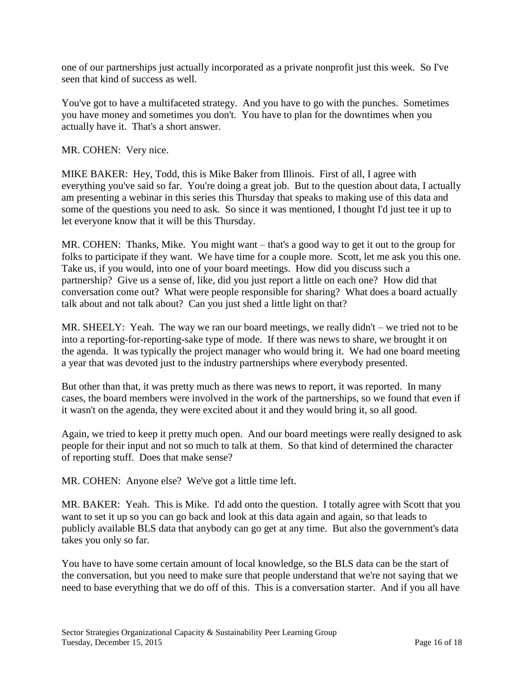one of our partnerships just actually incorporated as a private nonprofit just this week. So I've seen that kind of success as well.

You've got to have a multifaceted strategy. And you have to go with the punches. Sometimes you have money and sometimes you don't. You have to plan for the downtimes when you actually have it. That's a short answer.

MR. COHEN: Very nice.

MIKE BAKER: Hey, Todd, this is Mike Baker from Illinois. First of all, I agree with everything you've said so far. You're doing a great job. But to the question about data, I actually am presenting a webinar in this series this Thursday that speaks to making use of this data and some of the questions you need to ask. So since it was mentioned, I thought I'd just tee it up to let everyone know that it will be this Thursday.

MR. COHEN: Thanks, Mike. You might want – that's a good way to get it out to the group for folks to participate if they want. We have time for a couple more. Scott, let me ask you this one. Take us, if you would, into one of your board meetings. How did you discuss such a partnership? Give us a sense of, like, did you just report a little on each one? How did that conversation come out? What were people responsible for sharing? What does a board actually talk about and not talk about? Can you just shed a little light on that?

MR. SHEELY: Yeah. The way we ran our board meetings, we really didn't – we tried not to be into a reporting-for-reporting-sake type of mode. If there was news to share, we brought it on the agenda. It was typically the project manager who would bring it. We had one board meeting a year that was devoted just to the industry partnerships where everybody presented.

But other than that, it was pretty much as there was news to report, it was reported. In many cases, the board members were involved in the work of the partnerships, so we found that even if it wasn't on the agenda, they were excited about it and they would bring it, so all good.

Again, we tried to keep it pretty much open. And our board meetings were really designed to ask people for their input and not so much to talk at them. So that kind of determined the character of reporting stuff. Does that make sense?

MR. COHEN: Anyone else? We've got a little time left.

MR. BAKER: Yeah. This is Mike. I'd add onto the question. I totally agree with Scott that you want to set it up so you can go back and look at this data again and again, so that leads to publicly available BLS data that anybody can go get at any time. But also the government's data takes you only so far.

You have to have some certain amount of local knowledge, so the BLS data can be the start of the conversation, but you need to make sure that people understand that we're not saying that we need to base everything that we do off of this. This is a conversation starter. And if you all have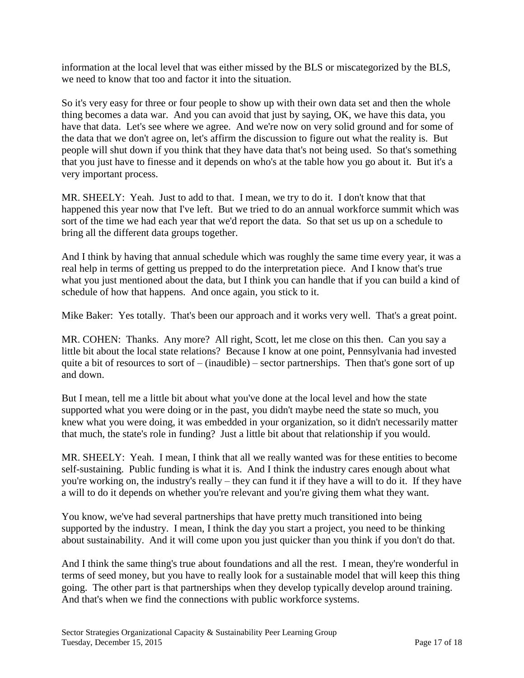information at the local level that was either missed by the BLS or miscategorized by the BLS, we need to know that too and factor it into the situation.

So it's very easy for three or four people to show up with their own data set and then the whole thing becomes a data war. And you can avoid that just by saying, OK, we have this data, you have that data. Let's see where we agree. And we're now on very solid ground and for some of the data that we don't agree on, let's affirm the discussion to figure out what the reality is. But people will shut down if you think that they have data that's not being used. So that's something that you just have to finesse and it depends on who's at the table how you go about it. But it's a very important process.

MR. SHEELY: Yeah. Just to add to that. I mean, we try to do it. I don't know that that happened this year now that I've left. But we tried to do an annual workforce summit which was sort of the time we had each year that we'd report the data. So that set us up on a schedule to bring all the different data groups together.

And I think by having that annual schedule which was roughly the same time every year, it was a real help in terms of getting us prepped to do the interpretation piece. And I know that's true what you just mentioned about the data, but I think you can handle that if you can build a kind of schedule of how that happens. And once again, you stick to it.

Mike Baker: Yes totally. That's been our approach and it works very well. That's a great point.

MR. COHEN: Thanks. Any more? All right, Scott, let me close on this then. Can you say a little bit about the local state relations? Because I know at one point, Pennsylvania had invested quite a bit of resources to sort of  $-$  (inaudible) – sector partnerships. Then that's gone sort of up and down.

But I mean, tell me a little bit about what you've done at the local level and how the state supported what you were doing or in the past, you didn't maybe need the state so much, you knew what you were doing, it was embedded in your organization, so it didn't necessarily matter that much, the state's role in funding? Just a little bit about that relationship if you would.

MR. SHEELY: Yeah. I mean, I think that all we really wanted was for these entities to become self-sustaining. Public funding is what it is. And I think the industry cares enough about what you're working on, the industry's really – they can fund it if they have a will to do it. If they have a will to do it depends on whether you're relevant and you're giving them what they want.

You know, we've had several partnerships that have pretty much transitioned into being supported by the industry. I mean, I think the day you start a project, you need to be thinking about sustainability. And it will come upon you just quicker than you think if you don't do that.

And I think the same thing's true about foundations and all the rest. I mean, they're wonderful in terms of seed money, but you have to really look for a sustainable model that will keep this thing going. The other part is that partnerships when they develop typically develop around training. And that's when we find the connections with public workforce systems.